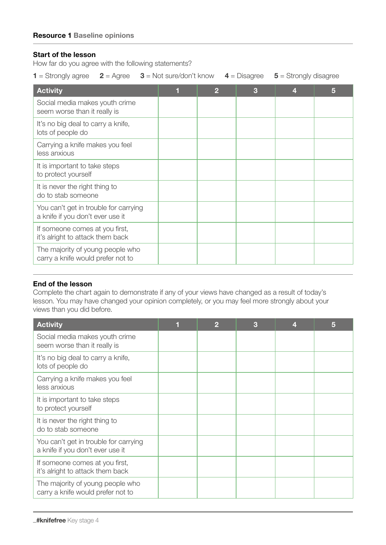## Start of the lesson

How far do you agree with the following statements?

|  |  | <b>1</b> = Strongly agree $2 =$ Agree $3 =$ Not sure/don't know $4 =$ Disagree $5 =$ Strongly disagree |  |  |
|--|--|--------------------------------------------------------------------------------------------------------|--|--|
|--|--|--------------------------------------------------------------------------------------------------------|--|--|

| <b>Activity</b>                                                           |  | 3 | 5 |
|---------------------------------------------------------------------------|--|---|---|
| Social media makes youth crime<br>seem worse than it really is            |  |   |   |
| It's no big deal to carry a knife,<br>lots of people do                   |  |   |   |
| Carrying a knife makes you feel<br>less anxious                           |  |   |   |
| It is important to take steps<br>to protect yourself                      |  |   |   |
| It is never the right thing to<br>do to stab someone                      |  |   |   |
| You can't get in trouble for carrying<br>a knife if you don't ever use it |  |   |   |
| If someone comes at you first,<br>it's alright to attack them back        |  |   |   |
| The majority of young people who<br>carry a knife would prefer not to     |  |   |   |

## End of the lesson

Complete the chart again to demonstrate if any of your views have changed as a result of today's lesson. You may have changed your opinion completely, or you may feel more strongly about your views than you did before.

| <b>Activity</b>                                                           |  | 3 | 5 |
|---------------------------------------------------------------------------|--|---|---|
| Social media makes youth crime<br>seem worse than it really is            |  |   |   |
| It's no big deal to carry a knife,<br>lots of people do                   |  |   |   |
| Carrying a knife makes you feel<br>less anxious                           |  |   |   |
| It is important to take steps<br>to protect yourself                      |  |   |   |
| It is never the right thing to<br>do to stab someone                      |  |   |   |
| You can't get in trouble for carrying<br>a knife if you don't ever use it |  |   |   |
| If someone comes at you first,<br>it's alright to attack them back        |  |   |   |
| The majority of young people who<br>carry a knife would prefer not to     |  |   |   |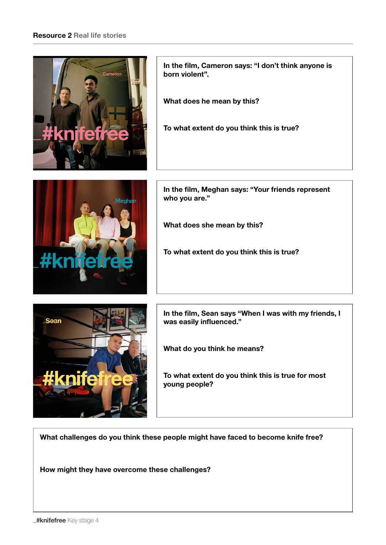## Resource 2 Real life stories



In the film, Cameron says: "I don't think anyone is born violent".

What does he mean by this?

To what extent do you think this is true?



In the film, Meghan says: "Your friends represent who you are."

What does she mean by this?

To what extent do you think this is true?



In the film, Sean says "When I was with my friends, I was easily influenced."

What do you think he means?

To what extent do you think this is true for most young people?

What challenges do you think these people might have faced to become knife free?

How might they have overcome these challenges?